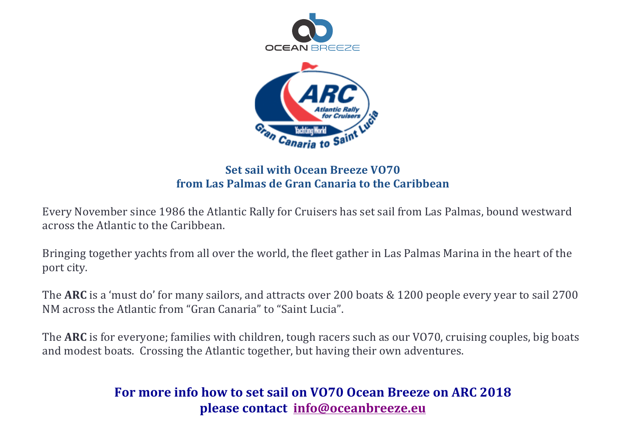



#### **Set sail with Ocean Breeze VO70 from Las Palmas de Gran Canaria to the Caribbean**

Every November since 1986 the Atlantic Rally for Cruisers has set sail from Las Palmas, bound westward across the Atlantic to the Caribbean.

Bringing together yachts from all over the world, the fleet gather in Las Palmas Marina in the heart of the port city.

The ARC is a 'must do' for many sailors, and attracts over 200 boats & 1200 people every year to sail 2700 NM across the Atlantic from "Gran Canaria" to "Saint Lucia".

The **ARC** is for everyone; families with children, tough racers such as our VO70, cruising couples, big boats and modest boats. Crossing the Atlantic together, but having their own adventures.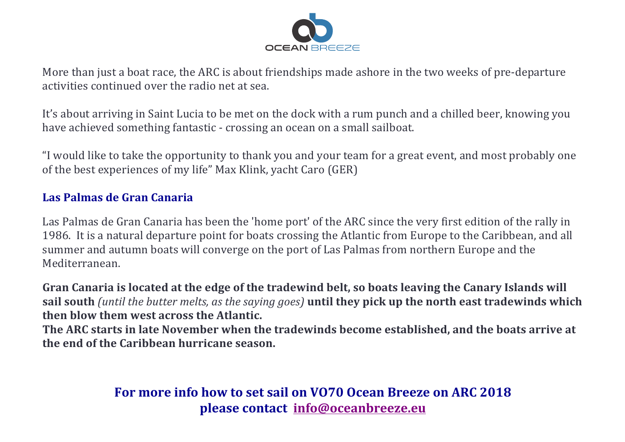

More than just a boat race, the ARC is about friendships made ashore in the two weeks of pre-departure activities continued over the radio net at sea.

It's about arriving in Saint Lucia to be met on the dock with a rum punch and a chilled beer, knowing you have achieved something fantastic - crossing an ocean on a small sailboat.

"I would like to take the opportunity to thank you and your team for a great event, and most probably one of the best experiences of my life" Max Klink, yacht Caro (GER)

#### **Las Palmas de Gran Canaria**

Las Palmas de Gran Canaria has been the 'home port' of the ARC since the very first edition of the rally in 1986. It is a natural departure point for boats crossing the Atlantic from Europe to the Caribbean, and all summer and autumn boats will converge on the port of Las Palmas from northern Europe and the Mediterranean.

Gran Canaria is located at the edge of the tradewind belt, so boats leaving the Canary Islands will sail south (until the butter melts, as the saying goes) until they pick up the north east tradewinds which **then blow them west across the Atlantic.** 

The ARC starts in late November when the tradewinds become established, and the boats arrive at **the end of the Caribbean hurricane season.**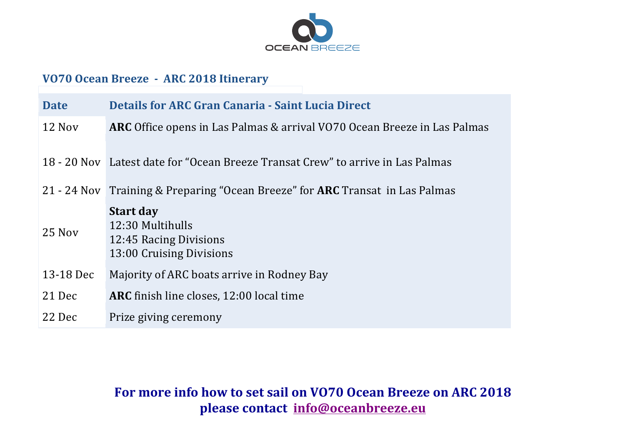

#### **VO70 Ocean Breeze - ARC 2018 Itinerary**

| <b>Date</b> | <b>Details for ARC Gran Canaria - Saint Lucia Direct</b>                                   |
|-------------|--------------------------------------------------------------------------------------------|
| 12 Nov      | <b>ARC</b> Office opens in Las Palmas & arrival VO70 Ocean Breeze in Las Palmas            |
|             | 18 - 20 Nov Latest date for "Ocean Breeze Transat Crew" to arrive in Las Palmas            |
|             | 21 - 24 Nov Training & Preparing "Ocean Breeze" for <b>ARC</b> Transat in Las Palmas       |
| 25 Nov      | <b>Start day</b><br>12:30 Multihulls<br>12:45 Racing Divisions<br>13:00 Cruising Divisions |
| 13-18 Dec   | Majority of ARC boats arrive in Rodney Bay                                                 |
| 21 Dec      | ARC finish line closes, 12:00 local time                                                   |
| 22 Dec      | Prize giving ceremony                                                                      |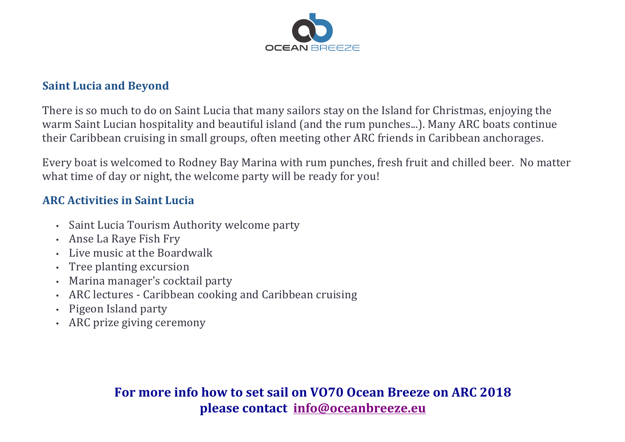

#### **Saint Lucia and Beyond**

There is so much to do on Saint Lucia that many sailors stay on the Island for Christmas, enjoying the warm Saint Lucian hospitality and beautiful island (and the rum punches...). Many ARC boats continue their Caribbean cruising in small groups, often meeting other ARC friends in Caribbean anchorages.

Every boat is welcomed to Rodney Bay Marina with rum punches, fresh fruit and chilled beer. No matter what time of day or night, the welcome party will be ready for you!

### **ARC Activities in Saint Lucia**

- Saint Lucia Tourism Authority welcome party
- Anse La Raye Fish Fry
- $\cdot$  Live music at the Boardwalk
- Tree planting excursion
- Marina manager's cocktail party
- ARC lectures Caribbean cooking and Caribbean cruising
- Pigeon Island party
- ARC prize giving ceremony